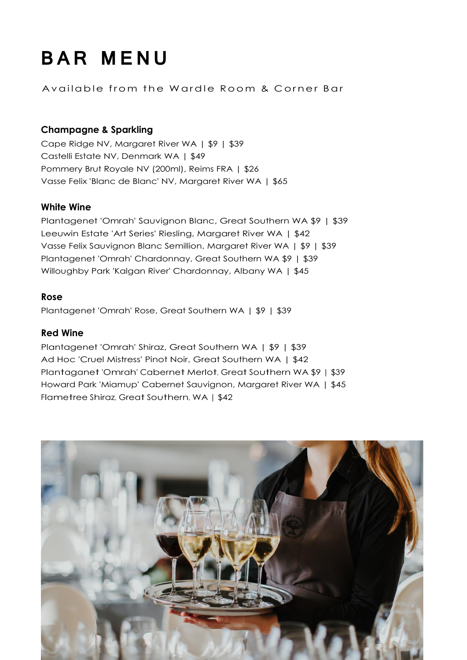# **BAR MENU**

Available from the Wardle Room & Corner Bar

# **Champagne & Sparkling**

Cape Ridge NV, Margaret River WA | \$9 | \$39 Castelli Estate NV, Denmark WA | \$49 Pommery Brut Royale NV (200ml), Reims FRA | \$26 Vasse Felix 'Blanc de Blanc' NV, Margaret River WA | \$65

# **White Wine**

Plantagenet 'Omrah' Sauvignon Blanc, Great Southern WA \$9 | \$39 Leeuwin Estate 'Art Series' Riesling, Margaret River WA | \$42 Vasse Felix Sauvignon Blanc Semillion, Margaret River WA | \$9 | \$39 Plantagenet 'Omrah' Chardonnay, Great Southern WA \$9 | \$39 Willoughby Park 'Kalgan River' Chardonnay, Albany WA | \$45

### **Rose**

Plantagenet 'Omrah' Rose, Great Southern WA | \$9 | \$39

### **Red Wine**

Plantagenet 'Omrah' Shiraz, Great Southern WA | \$9 | \$39 Ad Hoc 'Cruel Mistress' Pinot Noir, Great Southern WA | \$42 Plantaganet 'Omrah' Cabernet Merlot, Great Southern WA \$9 | \$39 Howard Park 'Miamup' Cabernet Sauvignon, Margaret River WA | \$45 Flametree Shiraz, Great Southern, WA | \$42